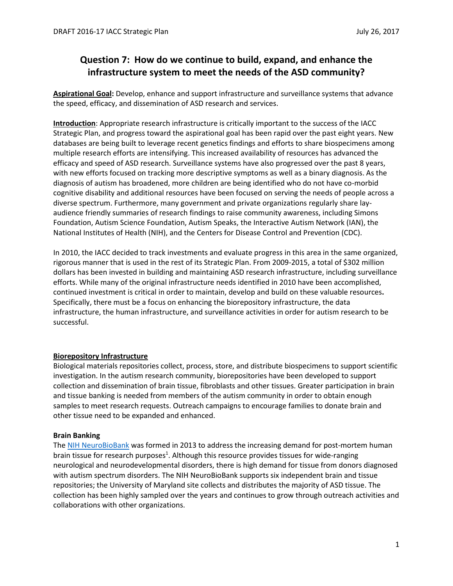# **Question 7: How do we continue to build, expand, and enhance the infrastructure system to meet the needs of the ASD community?**

**Aspirational Goal:** Develop, enhance and support infrastructure and surveillance systems that advance the speed, efficacy, and dissemination of ASD research and services.

**Introduction**: Appropriate research infrastructure is critically important to the success of the IACC Strategic Plan, and progress toward the aspirational goal has been rapid over the past eight years. New databases are being built to leverage recent genetics findings and efforts to share biospecimens among multiple research efforts are intensifying. This increased availability of resources has advanced the efficacy and speed of ASD research. Surveillance systems have also progressed over the past 8 years, with new efforts focused on tracking more descriptive symptoms as well as a binary diagnosis. As the diagnosis of autism has broadened, more children are being identified who do not have co-morbid cognitive disability and additional resources have been focused on serving the needs of people across a diverse spectrum. Furthermore, many government and private organizations regularly share layaudience friendly summaries of research findings to raise community awareness, including Simons Foundation, Autism Science Foundation, Autism Speaks, the Interactive Autism Network (IAN), the National Institutes of Health (NIH), and the Centers for Disease Control and Prevention (CDC).

In 2010, the IACC decided to track investments and evaluate progress in this area in the same organized, rigorous manner that is used in the rest of its Strategic Plan. From 2009-2015, a total of \$302 million dollars has been invested in building and maintaining ASD research infrastructure, including surveillance efforts. While many of the original infrastructure needs identified in 2010 have been accomplished, continued investment is critical in order to maintain, develop and build on these valuable resources**.**  Specifically, there must be a focus on enhancing the biorepository infrastructure, the data infrastructure, the human infrastructure, and surveillance activities in order for autism research to be successful.

# **Biorepository Infrastructure**

Biological materials repositories collect, process, store, and distribute biospecimens to support scientific investigation. In the autism research community, biorepositories have been developed to support collection and dissemination of brain tissue, fibroblasts and other tissues. Greater participation in brain and tissue banking is needed from members of the autism community in order to obtain enough samples to meet research requests. Outreach campaigns to encourage families to donate brain and other tissue need to be expanded and enhanced.

# **Brain Banking**

The [NIH NeuroBioBank](https://neurobiobank.nih.gov/) was formed in 2013 to address the increasing demand for post-mortem human brain tissue for research purposes<sup>1</sup>. Although this resource provides tissues for wide-ranging neurological and neurodevelopmental disorders, there is high demand for tissue from donors diagnosed with autism spectrum disorders. The NIH NeuroBioBank supports six independent brain and tissue repositories; the University of Maryland site collects and distributes the majority of ASD tissue. The collection has been highly sampled over the years and continues to grow through outreach activities and collaborations with other organizations.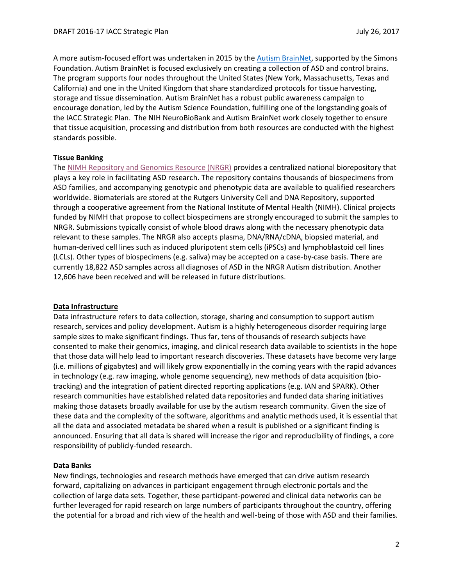A more autism-focused effort was undertaken in 2015 by the [Autism BrainNet,](https://autismbrainnet.org/) supported by the Simons Foundation. Autism BrainNet is focused exclusively on creating a collection of ASD and control brains. The program supports four nodes throughout the United States (New York, Massachusetts, Texas and California) and one in the United Kingdom that share standardized protocols for tissue harvesting, storage and tissue dissemination. Autism BrainNet has a robust public awareness campaign to encourage donation, led by the Autism Science Foundation, fulfilling one of the longstanding goals of the IACC Strategic Plan. The NIH NeuroBioBank and Autism BrainNet work closely together to ensure that tissue acquisition, processing and distribution from both resources are conducted with the highest standards possible.

# **Tissue Banking**

The [NIMH Repository and Genomics](http://nimhgenetics.org/) Resource (NRGR) provides a centralized national biorepository that plays a key role in facilitating ASD research. The repository contains thousands of biospecimens from ASD families, and accompanying genotypic and phenotypic data are available to qualified researchers worldwide. Biomaterials are stored at the Rutgers University Cell and DNA Repository, supported through a cooperative agreement from the National Institute of Mental Health (NIMH). Clinical projects funded by NIMH that propose to collect biospecimens are strongly encouraged to submit the samples to NRGR. Submissions typically consist of whole blood draws along with the necessary phenotypic data relevant to these samples. The NRGR also accepts plasma, DNA/RNA/cDNA, biopsied material, and human-derived cell lines such as induced pluripotent stem cells (iPSCs) and lymphoblastoid cell lines (LCLs). Other types of biospecimens (e.g. saliva) may be accepted on a case-by-case basis. There are currently 18,822 ASD samples across all diagnoses of ASD in the NRGR Autism distribution. Another 12,606 have been received and will be released in future distributions.

#### **Data Infrastructure**

Data infrastructure refers to data collection, storage, sharing and consumption to support autism research, services and policy development. Autism is a highly heterogeneous disorder requiring large sample sizes to make significant findings. Thus far, tens of thousands of research subjects have consented to make their genomics, imaging, and clinical research data available to scientists in the hope that those data will help lead to important research discoveries. These datasets have become very large (i.e. millions of gigabytes) and will likely grow exponentially in the coming years with the rapid advances in technology (e.g. raw imaging, whole genome sequencing), new methods of data acquisition (biotracking) and the integration of patient directed reporting applications (e.g. IAN and SPARK). Other research communities have established related data repositories and funded data sharing initiatives making those datasets broadly available for use by the autism research community. Given the size of these data and the complexity of the software, algorithms and analytic methods used, it is essential that all the data and associated metadata be shared when a result is published or a significant finding is announced. Ensuring that all data is shared will increase the rigor and reproducibility of findings, a core responsibility of publicly-funded research.

#### **Data Banks**

New findings, technologies and research methods have emerged that can drive autism research forward, capitalizing on advances in participant engagement through electronic portals and the collection of large data sets. Together, these participant-powered and clinical data networks can be further leveraged for rapid research on large numbers of participants throughout the country, offering the potential for a broad and rich view of the health and well-being of those with ASD and their families.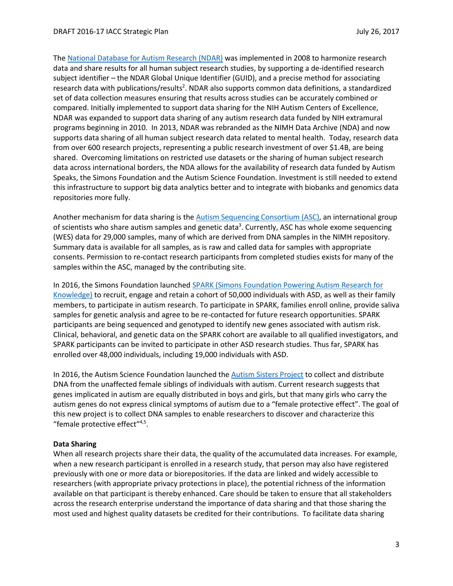The [National Database for Autism Research \(NDAR\)](https://ndar.nih.gov/) was implemented in 2008 to harmonize research data and share results for all human subject research studies, by supporting a de-identified research subject identifier – the NDAR Global Unique Identifier (GUID), and a precise method for associating research data with publications/results<sup>2</sup>. NDAR also supports common data definitions, a standardized set of data collection measures ensuring that results across studies can be accurately combined or compared. Initially implemented to support data sharing for the NIH Autism Centers of Excellence, NDAR was expanded to support data sharing of any autism research data funded by NIH extramural programs beginning in 2010. In 2013, NDAR was rebranded as the NIMH Data Archive (NDA) and now supports data sharing of all human subject research data related to mental health. Today, research data from over 600 research projects, representing a public research investment of over \$1.4B, are being shared. Overcoming limitations on restricted use datasets or the sharing of human subject research data across international borders, the NDA allows for the availability of research data funded by Autism Speaks, the Simons Foundation and the Autism Science Foundation. Investment is still needed to extend this infrastructure to support big data analytics better and to integrate with biobanks and genomics data repositories more fully.

Another mechanism for data sharing is the [Autism Sequencing Consortium \(ASC\),](https://genome.emory.edu/ASC/) an international group of scientists who share autism samples and genetic data<sup>3</sup>. Currently, ASC has whole exome sequencing (WES) data for 29,000 samples, many of which are derived from DNA samples in the NIMH repository. Summary data is available for all samples, as is raw and called data for samples with appropriate consents. Permission to re-contact research participants from completed studies exists for many of the samples within the ASC, managed by the contributing site.

In 2016, the Simons Foundation launched SPARK [\(Simons Foundation Powering Autism Research for](https://sparkforautism.org/portal/homepage/)  [Knowledge\)](https://sparkforautism.org/portal/homepage/) to recruit, engage and retain a cohort of 50,000 individuals with ASD, as well as their family members, to participate in autism research. To participate in SPARK, families enroll online, provide saliva samples for genetic analysis and agree to be re-contacted for future research opportunities. SPARK participants are being sequenced and genotyped to identify new genes associated with autism risk. Clinical, behavioral, and genetic data on the SPARK cohort are available to all qualified investigators, and SPARK participants can be invited to participate in other ASD research studies. Thus far, SPARK has enrolled over 48,000 individuals, including 19,000 individuals with ASD.

In 2016, the Autism Science Foundation launched th[e Autism Sisters Project](http://autismsciencefoundation.org/about-asf/media-center/press-releases/autism-sisters-project/) to collect and distribute DNA from the unaffected female siblings of individuals with autism. Current research suggests that genes implicated in autism are equally distributed in boys and girls, but that many girls who carry the autism genes do not express clinical symptoms of autism due to a "female protective effect". The goal of this new project is to collect DNA samples to enable researchers to discover and characterize this "female protective effect"<sup>4,5</sup>.

# **Data Sharing**

When all research projects share their data, the quality of the accumulated data increases. For example, when a new research participant is enrolled in a research study, that person may also have registered previously with one or more data or biorepositories. If the data are linked and widely accessible to researchers (with appropriate privacy protections in place), the potential richness of the information available on that participant is thereby enhanced. Care should be taken to ensure that all stakeholders across the research enterprise understand the importance of data sharing and that those sharing the most used and highest quality datasets be credited for their contributions. To facilitate data sharing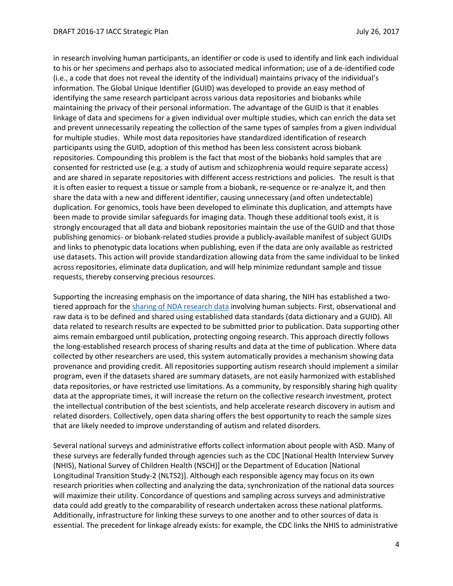in research involving human participants, an identifier or code is used to identify and link each individual to his or her specimens and perhaps also to associated medical information; use of a de-identified code (i.e., a code that does not reveal the identity of the individual) maintains privacy of the individual's information. The Global Unique Identifier (GUID) was developed to provide an easy method of identifying the same research participant across various data repositories and biobanks while maintaining the privacy of their personal information. The advantage of the GUID is that it enables linkage of data and specimens for a given individual over multiple studies, which can enrich the data set and prevent unnecessarily repeating the collection of the same types of samples from a given individual for multiple studies. While most data repositories have standardized identification of research participants using the GUID, adoption of this method has been less consistent across biobank repositories. Compounding this problem is the fact that most of the biobanks hold samples that are consented for restricted use (e.g. a study of autism and schizophrenia would require separate access) and are shared in separate repositories with different access restrictions and policies. The result is that it is often easier to request a tissue or sample from a biobank, re-sequence or re-analyze it, and then share the data with a new and different identifier, causing unnecessary (and often undetectable) duplication. For genomics, tools have been developed to eliminate this duplication, and attempts have been made to provide similar safeguards for imaging data. Though these additional tools exist, it is strongly encouraged that all data and biobank repositories maintain the use of the GUID and that those publishing genomics- or biobank-related studies provide a publicly-available manifest of subject GUIDs and links to phenotypic data locations when publishing, even if the data are only available as restricted use datasets. This action will provide standardization allowing data from the same individual to be linked across repositories, eliminate data duplication, and will help minimize redundant sample and tissue requests, thereby conserving precious resources.

Supporting the increasing emphasis on the importance of data sharing, the NIH has established a twotiered approach for the [sharing of NDA research data](https://data-archive.nimh.nih.gov/s/sharedcontent/share/sharing-regimen) involving human subjects. First, observational and raw data is to be defined and shared using established data standards (data dictionary and a GUID). All data related to research results are expected to be submitted prior to publication. Data supporting other aims remain embargoed until publication, protecting ongoing research. This approach directly follows the long-established research process of sharing results and data at the time of publication. Where data collected by other researchers are used, this system automatically provides a mechanism showing data provenance and providing credit. All repositories supporting autism research should implement a similar program, even if the datasets shared are summary datasets, are not easily harmonized with established data repositories, or have restricted use limitations. As a community, by responsibly sharing high quality data at the appropriate times, it will increase the return on the collective research investment, protect the intellectual contribution of the best scientists, and help accelerate research discovery in autism and related disorders. Collectively, open data sharing offers the best opportunity to reach the sample sizes that are likely needed to improve understanding of autism and related disorders.

Several national surveys and administrative efforts collect information about people with ASD. Many of these surveys are federally funded through agencies such as the CDC [National Health Interview Survey (NHIS), National Survey of Children Health (NSCH)] or the Department of Education [National Longitudinal Transition Study-2 (NLTS2)]. Although each responsible agency may focus on its own research priorities when collecting and analyzing the data, synchronization of the national data sources will maximize their utility. Concordance of questions and sampling across surveys and administrative data could add greatly to the comparability of research undertaken across these national platforms. Additionally, infrastructure for linking these surveys to one another and to other sources of data is essential. The precedent for linkage already exists: for example, the CDC links the NHIS to administrative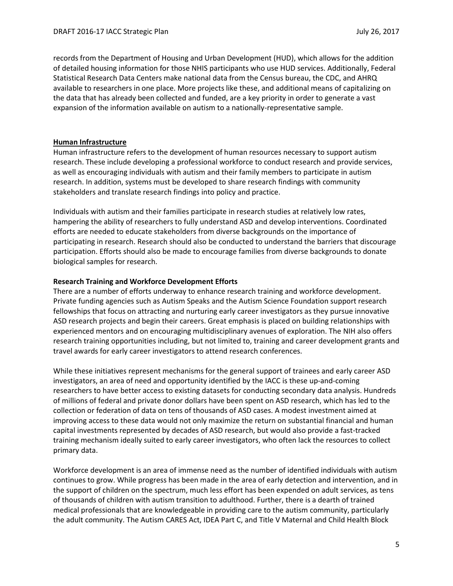records from the Department of Housing and Urban Development (HUD), which allows for the addition of detailed housing information for those NHIS participants who use HUD services. Additionally, Federal Statistical Research Data Centers make national data from the Census bureau, the CDC, and AHRQ available to researchers in one place. More projects like these, and additional means of capitalizing on the data that has already been collected and funded, are a key priority in order to generate a vast expansion of the information available on autism to a nationally-representative sample.

# **Human Infrastructure**

Human infrastructure refers to the development of human resources necessary to support autism research. These include developing a professional workforce to conduct research and provide services, as well as encouraging individuals with autism and their family members to participate in autism research. In addition, systems must be developed to share research findings with community stakeholders and translate research findings into policy and practice.

Individuals with autism and their families participate in research studies at relatively low rates, hampering the ability of researchers to fully understand ASD and develop interventions. Coordinated efforts are needed to educate stakeholders from diverse backgrounds on the importance of participating in research. Research should also be conducted to understand the barriers that discourage participation. Efforts should also be made to encourage families from diverse backgrounds to donate biological samples for research.

# **Research Training and Workforce Development Efforts**

There are a number of efforts underway to enhance research training and workforce development. Private funding agencies such as Autism Speaks and the Autism Science Foundation support research fellowships that focus on attracting and nurturing early career investigators as they pursue innovative ASD research projects and begin their careers. Great emphasis is placed on building relationships with experienced mentors and on encouraging multidisciplinary avenues of exploration. The NIH also offers research training opportunities including, but not limited to, training and career development grants and travel awards for early career investigators to attend research conferences.

While these initiatives represent mechanisms for the general support of trainees and early career ASD investigators, an area of need and opportunity identified by the IACC is these up-and-coming researchers to have better access to existing datasets for conducting secondary data analysis. Hundreds of millions of federal and private donor dollars have been spent on ASD research, which has led to the collection or federation of data on tens of thousands of ASD cases. A modest investment aimed at improving access to these data would not only maximize the return on substantial financial and human capital investments represented by decades of ASD research, but would also provide a fast-tracked training mechanism ideally suited to early career investigators, who often lack the resources to collect primary data.

Workforce development is an area of immense need as the number of identified individuals with autism continues to grow. While progress has been made in the area of early detection and intervention, and in the support of children on the spectrum, much less effort has been expended on adult services, as tens of thousands of children with autism transition to adulthood. Further, there is a dearth of trained medical professionals that are knowledgeable in providing care to the autism community, particularly the adult community. The Autism CARES Act, IDEA Part C, and Title V Maternal and Child Health Block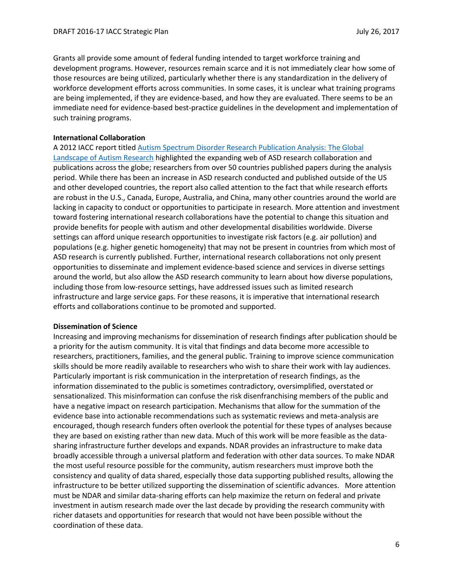Grants all provide some amount of federal funding intended to target workforce training and development programs. However, resources remain scarce and it is not immediately clear how some of those resources are being utilized, particularly whether there is any standardization in the delivery of workforce development efforts across communities. In some cases, it is unclear what training programs are being implemented, if they are evidence-based, and how they are evaluated. There seems to be an immediate need for evidence-based best-practice guidelines in the development and implementation of such training programs.

# **International Collaboration**

A 2012 IACC report titled [Autism Spectrum Disorder Research Publication Analysis: The Global](https://iacc.hhs.gov/publications/publications-analysis/2012/)  [Landscape of Autism Research](https://iacc.hhs.gov/publications/publications-analysis/2012/) highlighted the expanding web of ASD research collaboration and publications across the globe; researchers from over 50 countries published papers during the analysis period. While there has been an increase in ASD research conducted and published outside of the US and other developed countries, the report also called attention to the fact that while research efforts are robust in the U.S., Canada, Europe, Australia, and China, many other countries around the world are lacking in capacity to conduct or opportunities to participate in research. More attention and investment toward fostering international research collaborations have the potential to change this situation and provide benefits for people with autism and other developmental disabilities worldwide. Diverse settings can afford unique research opportunities to investigate risk factors (e.g. air pollution) and populations (e.g. higher genetic homogeneity) that may not be present in countries from which most of ASD research is currently published. Further, international research collaborations not only present opportunities to disseminate and implement evidence-based science and services in diverse settings around the world, but also allow the ASD research community to learn about how diverse populations, including those from low-resource settings, have addressed issues such as limited research infrastructure and large service gaps. For these reasons, it is imperative that international research efforts and collaborations continue to be promoted and supported.

#### **Dissemination of Science**

Increasing and improving mechanisms for dissemination of research findings after publication should be a priority for the autism community. It is vital that findings and data become more accessible to researchers, practitioners, families, and the general public. Training to improve science communication skills should be more readily available to researchers who wish to share their work with lay audiences. Particularly important is risk communication in the interpretation of research findings, as the information disseminated to the public is sometimes contradictory, oversimplified, overstated or sensationalized. This misinformation can confuse the risk disenfranchising members of the public and have a negative impact on research participation. Mechanisms that allow for the summation of the evidence base into actionable recommendations such as systematic reviews and meta-analysis are encouraged, though research funders often overlook the potential for these types of analyses because they are based on existing rather than new data. Much of this work will be more feasible as the datasharing infrastructure further develops and expands. NDAR provides an infrastructure to make data broadly accessible through a universal platform and federation with other data sources. To make NDAR the most useful resource possible for the community, autism researchers must improve both the consistency and quality of data shared, especially those data supporting published results, allowing the infrastructure to be better utilized supporting the dissemination of scientific advances. More attention must be NDAR and similar data-sharing efforts can help maximize the return on federal and private investment in autism research made over the last decade by providing the research community with richer datasets and opportunities for research that would not have been possible without the coordination of these data.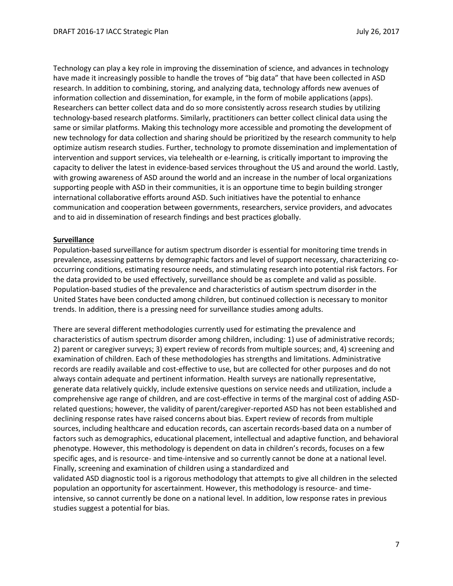Technology can play a key role in improving the dissemination of science, and advances in technology have made it increasingly possible to handle the troves of "big data" that have been collected in ASD research. In addition to combining, storing, and analyzing data, technology affords new avenues of information collection and dissemination, for example, in the form of mobile applications (apps). Researchers can better collect data and do so more consistently across research studies by utilizing technology-based research platforms. Similarly, practitioners can better collect clinical data using the same or similar platforms. Making this technology more accessible and promoting the development of new technology for data collection and sharing should be prioritized by the research community to help optimize autism research studies. Further, technology to promote dissemination and implementation of intervention and support services, via telehealth or e-learning, is critically important to improving the capacity to deliver the latest in evidence-based services throughout the US and around the world. Lastly, with growing awareness of ASD around the world and an increase in the number of local organizations supporting people with ASD in their communities, it is an opportune time to begin building stronger international collaborative efforts around ASD. Such initiatives have the potential to enhance communication and cooperation between governments, researchers, service providers, and advocates and to aid in dissemination of research findings and best practices globally.

# **Surveillance**

Population-based surveillance for autism spectrum disorder is essential for monitoring time trends in prevalence, assessing patterns by demographic factors and level of support necessary, characterizing cooccurring conditions, estimating resource needs, and stimulating research into potential risk factors. For the data provided to be used effectively, surveillance should be as complete and valid as possible. Population-based studies of the prevalence and characteristics of autism spectrum disorder in the United States have been conducted among children, but continued collection is necessary to monitor trends. In addition, there is a pressing need for surveillance studies among adults.

There are several different methodologies currently used for estimating the prevalence and characteristics of autism spectrum disorder among children, including: 1) use of administrative records; 2) parent or caregiver surveys; 3) expert review of records from multiple sources; and, 4) screening and examination of children. Each of these methodologies has strengths and limitations. Administrative records are readily available and cost-effective to use, but are collected for other purposes and do not always contain adequate and pertinent information. Health surveys are nationally representative, generate data relatively quickly, include extensive questions on service needs and utilization, include a comprehensive age range of children, and are cost-effective in terms of the marginal cost of adding ASDrelated questions; however, the validity of parent/caregiver-reported ASD has not been established and declining response rates have raised concerns about bias. Expert review of records from multiple sources, including healthcare and education records, can ascertain records-based data on a number of factors such as demographics, educational placement, intellectual and adaptive function, and behavioral phenotype. However, this methodology is dependent on data in children's records, focuses on a few specific ages, and is resource- and time-intensive and so currently cannot be done at a national level. Finally, screening and examination of children using a standardized and validated ASD diagnostic tool is a rigorous methodology that attempts to give all children in the selected population an opportunity for ascertainment. However, this methodology is resource- and timeintensive, so cannot currently be done on a national level. In addition, low response rates in previous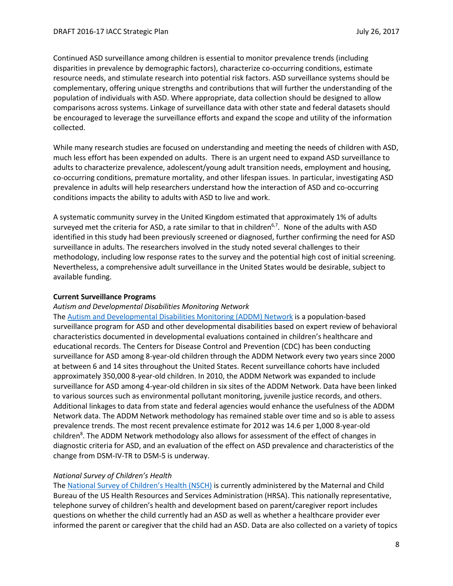Continued ASD surveillance among children is essential to monitor prevalence trends (including disparities in prevalence by demographic factors), characterize co-occurring conditions, estimate resource needs, and stimulate research into potential risk factors. ASD surveillance systems should be complementary, offering unique strengths and contributions that will further the understanding of the population of individuals with ASD. Where appropriate, data collection should be designed to allow comparisons across systems. Linkage of surveillance data with other state and federal datasets should be encouraged to leverage the surveillance efforts and expand the scope and utility of the information collected.

While many research studies are focused on understanding and meeting the needs of children with ASD, much less effort has been expended on adults. There is an urgent need to expand ASD surveillance to adults to characterize prevalence, adolescent/young adult transition needs, employment and housing, co-occurring conditions, premature mortality, and other lifespan issues. In particular, investigating ASD prevalence in adults will help researchers understand how the interaction of ASD and co-occurring conditions impacts the ability to adults with ASD to live and work.

A systematic community survey in the United Kingdom estimated that approximately 1% of adults surveyed met the criteria for ASD, a rate similar to that in children<sup>6,7</sup>. None of the adults with ASD identified in this study had been previously screened or diagnosed, further confirming the need for ASD surveillance in adults. The researchers involved in the study noted several challenges to their methodology, including low response rates to the survey and the potential high cost of initial screening. Nevertheless, a comprehensive adult surveillance in the United States would be desirable, subject to available funding.

# **Current Surveillance Programs**

#### *Autism and Developmental Disabilities Monitoring Network*

The [Autism and Developmental Disabilities Monitoring \(ADDM\)](https://www.cdc.gov/ncbddd/autism/addm.html) Network is a population-based surveillance program for ASD and other developmental disabilities based on expert review of behavioral characteristics documented in developmental evaluations contained in children's healthcare and educational records. The Centers for Disease Control and Prevention (CDC) has been conducting surveillance for ASD among 8-year-old children through the ADDM Network every two years since 2000 at between 6 and 14 sites throughout the United States. Recent surveillance cohorts have included approximately 350,000 8-year-old children. In 2010, the ADDM Network was expanded to include surveillance for ASD among 4-year-old children in six sites of the ADDM Network. Data have been linked to various sources such as environmental pollutant monitoring, juvenile justice records, and others. Additional linkages to data from state and federal agencies would enhance the usefulness of the ADDM Network data. The ADDM Network methodology has remained stable over time and so is able to assess prevalence trends. The most recent prevalence estimate for 2012 was 14.6 per 1,000 8-year-old children<sup>8</sup>. The ADDM Network methodology also allows for assessment of the effect of changes in diagnostic criteria for ASD, and an evaluation of the effect on ASD prevalence and characteristics of the change from DSM-IV-TR to DSM-5 is underway.

# *National Survey of Children's Health*

The [National Survey of Children's Health \(NSCH\)](http://www.childhealthdata.org/learn/NSCH) is currently administered by the Maternal and Child Bureau of the US Health Resources and Services Administration (HRSA). This nationally representative, telephone survey of children's health and development based on parent/caregiver report includes questions on whether the child currently had an ASD as well as whether a healthcare provider ever informed the parent or caregiver that the child had an ASD. Data are also collected on a variety of topics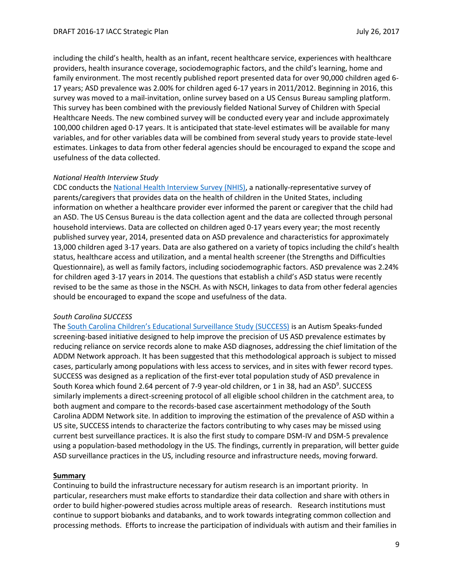including the child's health, health as an infant, recent healthcare service, experiences with healthcare providers, health insurance coverage, sociodemographic factors, and the child's learning, home and family environment. The most recently published report presented data for over 90,000 children aged 6- 17 years; ASD prevalence was 2.00% for children aged 6-17 years in 2011/2012. Beginning in 2016, this survey was moved to a mail-invitation, online survey based on a US Census Bureau sampling platform. This survey has been combined with the previously fielded National Survey of Children with Special Healthcare Needs. The new combined survey will be conducted every year and include approximately 100,000 children aged 0-17 years. It is anticipated that state-level estimates will be available for many variables, and for other variables data will be combined from several study years to provide state-level estimates. Linkages to data from other federal agencies should be encouraged to expand the scope and usefulness of the data collected.

# *National Health Interview Study*

CDC conducts the [National Health Interview Survey \(NHIS\),](https://www.cdc.gov/nchs/nhis/index.htm) a nationally-representative survey of parents/caregivers that provides data on the health of children in the United States, including information on whether a healthcare provider ever informed the parent or caregiver that the child had an ASD. The US Census Bureau is the data collection agent and the data are collected through personal household interviews. Data are collected on children aged 0-17 years every year; the most recently published survey year, 2014, presented data on ASD prevalence and characteristics for approximately 13,000 children aged 3-17 years. Data are also gathered on a variety of topics including the child's health status, healthcare access and utilization, and a mental health screener (the Strengths and Difficulties Questionnaire), as well as family factors, including sociodemographic factors. ASD prevalence was 2.24% for children aged 3-17 years in 2014. The questions that establish a child's ASD status were recently revised to be the same as those in the NSCH. As with NSCH, linkages to data from other federal agencies should be encouraged to expand the scope and usefulness of the data.

# *South Carolina SUCCESS*

The [South Carolina Children's Educational Surveillance Study \(SUCCESS\)](http://academicdepartments.musc.edu/success/) is an Autism Speaks-funded screening-based initiative designed to help improve the precision of US ASD prevalence estimates by reducing reliance on service records alone to make ASD diagnoses, addressing the chief limitation of the ADDM Network approach. It has been suggested that this methodological approach is subject to missed cases, particularly among populations with less access to services, and in sites with fewer record types. SUCCESS was designed as a replication of the first-ever total population study of ASD prevalence in South Korea which found 2.64 percent of 7-9 year-old children, or 1 in 38, had an ASD<sup>9</sup>. SUCCESS similarly implements a direct-screening protocol of all eligible school children in the catchment area, to both augment and compare to the records-based case ascertainment methodology of the South Carolina ADDM Network site. In addition to improving the estimation of the prevalence of ASD within a US site, SUCCESS intends to characterize the factors contributing to why cases may be missed using current best surveillance practices. It is also the first study to compare DSM-IV and DSM-5 prevalence using a population-based methodology in the US. The findings, currently in preparation, will better guide ASD surveillance practices in the US, including resource and infrastructure needs, moving forward.

# **Summary**

Continuing to build the infrastructure necessary for autism research is an important priority. In particular, researchers must make efforts to standardize their data collection and share with others in order to build higher-powered studies across multiple areas of research. Research institutions must continue to support biobanks and databanks, and to work towards integrating common collection and processing methods. Efforts to increase the participation of individuals with autism and their families in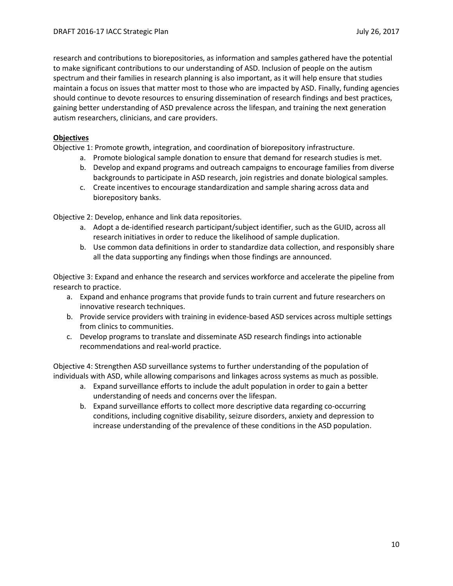research and contributions to biorepositories, as information and samples gathered have the potential to make significant contributions to our understanding of ASD. Inclusion of people on the autism spectrum and their families in research planning is also important, as it will help ensure that studies maintain a focus on issues that matter most to those who are impacted by ASD. Finally, funding agencies should continue to devote resources to ensuring dissemination of research findings and best practices, gaining better understanding of ASD prevalence across the lifespan, and training the next generation autism researchers, clinicians, and care providers.

# **Objectives**

Objective 1: Promote growth, integration, and coordination of biorepository infrastructure.

- a. Promote biological sample donation to ensure that demand for research studies is met.
- b. Develop and expand programs and outreach campaigns to encourage families from diverse backgrounds to participate in ASD research, join registries and donate biological samples.
- c. Create incentives to encourage standardization and sample sharing across data and biorepository banks.

Objective 2: Develop, enhance and link data repositories.

- a. Adopt a de-identified research participant/subject identifier, such as the GUID, across all research initiatives in order to reduce the likelihood of sample duplication.
- b. Use common data definitions in order to standardize data collection, and responsibly share all the data supporting any findings when those findings are announced.

Objective 3: Expand and enhance the research and services workforce and accelerate the pipeline from research to practice.

- a. Expand and enhance programs that provide funds to train current and future researchers on innovative research techniques.
- b. Provide service providers with training in evidence-based ASD services across multiple settings from clinics to communities.
- c. Develop programs to translate and disseminate ASD research findings into actionable recommendations and real-world practice.

Objective 4: Strengthen ASD surveillance systems to further understanding of the population of individuals with ASD, while allowing comparisons and linkages across systems as much as possible.

- a. Expand surveillance efforts to include the adult population in order to gain a better understanding of needs and concerns over the lifespan.
- b. Expand surveillance efforts to collect more descriptive data regarding co-occurring conditions, including cognitive disability, seizure disorders, anxiety and depression to increase understanding of the prevalence of these conditions in the ASD population.